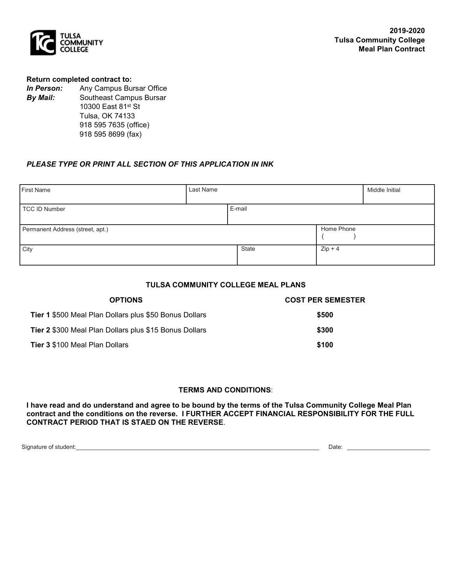

#### **Return completed contract to:**

*In Person:* Any Campus Bursar Office *By Mail:* Southeast Campus Bursar *By Mail:*Southeast Campus Bursar 10300 East 81st St Tulsa, OK 74133 918 595 7635 (office) 918 595 8699 (fax)

## *PLEASE TYPE OR PRINT ALL SECTION OF THIS APPLICATION IN INK*

| First Name                       | Last Name |        | Middle Initial |  |
|----------------------------------|-----------|--------|----------------|--|
| TCC ID Number                    |           | E-mail |                |  |
| Permanent Address (street, apt.) |           |        | Home Phone     |  |
| <b>City</b>                      |           | State  | $Zip + 4$      |  |

# **TULSA COMMUNITY COLLEGE MEAL PLANS**

| <b>OPTIONS</b>                                                | <b>COST PER SEMESTER</b> |  |
|---------------------------------------------------------------|--------------------------|--|
| <b>Tier 1</b> \$500 Meal Plan Dollars plus \$50 Bonus Dollars | \$500                    |  |
| <b>Tier 2 \$300 Meal Plan Dollars plus \$15 Bonus Dollars</b> | \$300                    |  |
| <b>Tier 3 \$100 Meal Plan Dollars</b>                         | \$100                    |  |

#### **TERMS AND CONDITIONS**:

**I have read and do understand and agree to be bound by the terms of the Tulsa Community College Meal Plan contract and the conditions on the reverse. I FURTHER ACCEPT FINANCIAL RESPONSIBILITY FOR THE FULL CONTRACT PERIOD THAT IS STAED ON THE REVERSE**.

Signature of student: Date: